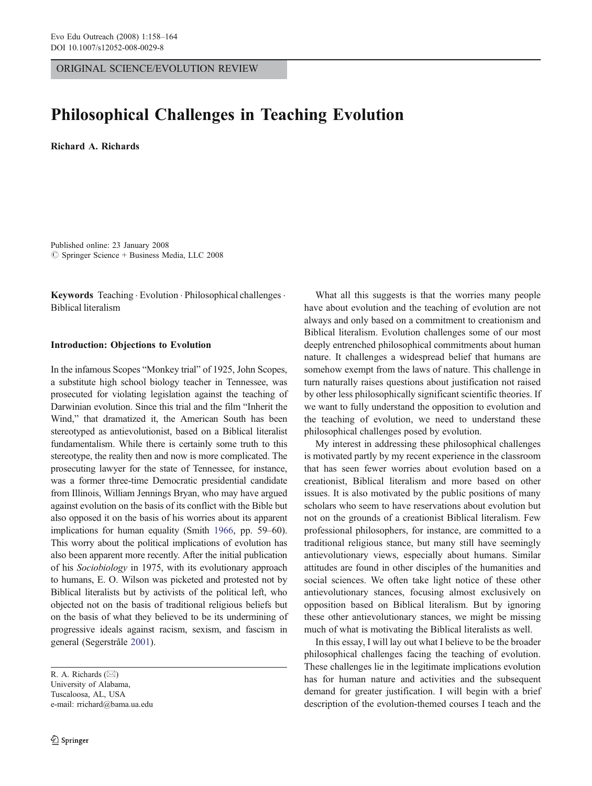ORIGINAL SCIENCE/EVOLUTION REVIEW

# Philosophical Challenges in Teaching Evolution

Richard A. Richards

Published online: 23 January 2008  $\circ$  Springer Science + Business Media, LLC 2008

Keywords Teaching . Evolution . Philosophical challenges. Biblical literalism

#### Introduction: Objections to Evolution

In the infamous Scopes "Monkey trial" of 1925, John Scopes, a substitute high school biology teacher in Tennessee, was prosecuted for violating legislation against the teaching of Darwinian evolution. Since this trial and the film "Inherit the Wind," that dramatized it, the American South has been stereotyped as antievolutionist, based on a Biblical literalist fundamentalism. While there is certainly some truth to this stereotype, the reality then and now is more complicated. The prosecuting lawyer for the state of Tennessee, for instance, was a former three-time Democratic presidential candidate from Illinois, William Jennings Bryan, who may have argued against evolution on the basis of its conflict with the Bible but also opposed it on the basis of his worries about its apparent implications for human equality (Smith [1966,](#page-6-0) pp. 59–60). This worry about the political implications of evolution has also been apparent more recently. After the initial publication of his Sociobiology in 1975, with its evolutionary approach to humans, E. O. Wilson was picketed and protested not by Biblical literalists but by activists of the political left, who objected not on the basis of traditional religious beliefs but on the basis of what they believed to be its undermining of progressive ideals against racism, sexism, and fascism in general (Segerstråle [2001](#page-6-0)).

What all this suggests is that the worries many people have about evolution and the teaching of evolution are not always and only based on a commitment to creationism and Biblical literalism. Evolution challenges some of our most deeply entrenched philosophical commitments about human nature. It challenges a widespread belief that humans are somehow exempt from the laws of nature. This challenge in turn naturally raises questions about justification not raised by other less philosophically significant scientific theories. If we want to fully understand the opposition to evolution and the teaching of evolution, we need to understand these philosophical challenges posed by evolution.

My interest in addressing these philosophical challenges is motivated partly by my recent experience in the classroom that has seen fewer worries about evolution based on a creationist, Biblical literalism and more based on other issues. It is also motivated by the public positions of many scholars who seem to have reservations about evolution but not on the grounds of a creationist Biblical literalism. Few professional philosophers, for instance, are committed to a traditional religious stance, but many still have seemingly antievolutionary views, especially about humans. Similar attitudes are found in other disciples of the humanities and social sciences. We often take light notice of these other antievolutionary stances, focusing almost exclusively on opposition based on Biblical literalism. But by ignoring these other antievolutionary stances, we might be missing much of what is motivating the Biblical literalists as well.

In this essay, I will lay out what I believe to be the broader philosophical challenges facing the teaching of evolution. These challenges lie in the legitimate implications evolution has for human nature and activities and the subsequent demand for greater justification. I will begin with a brief description of the evolution-themed courses I teach and the

R. A. Richards (*\**) University of Alabama, Tuscaloosa, AL, USA e-mail: rrichard@bama.ua.edu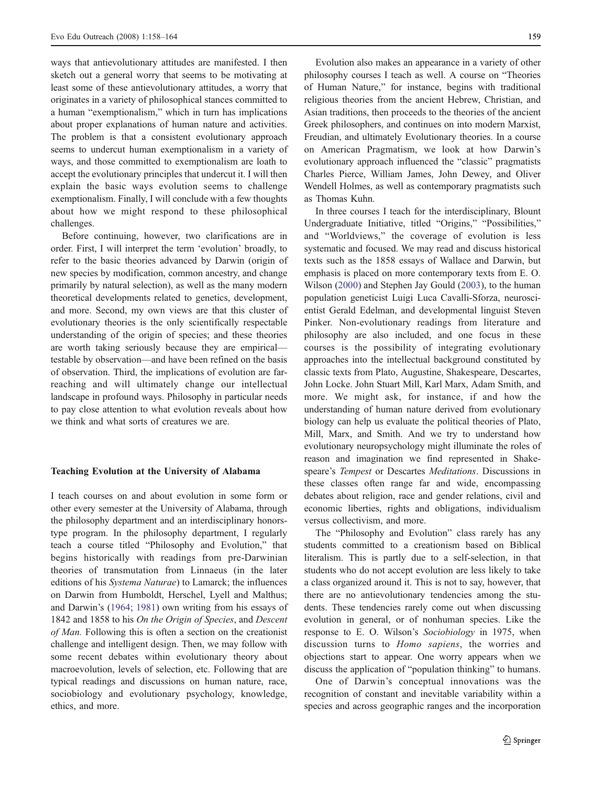ways that antievolutionary attitudes are manifested. I then sketch out a general worry that seems to be motivating at least some of these antievolutionary attitudes, a worry that originates in a variety of philosophical stances committed to a human "exemptionalism," which in turn has implications about proper explanations of human nature and activities. The problem is that a consistent evolutionary approach seems to undercut human exemptionalism in a variety of ways, and those committed to exemptionalism are loath to accept the evolutionary principles that undercut it. I will then explain the basic ways evolution seems to challenge exemptionalism. Finally, I will conclude with a few thoughts about how we might respond to these philosophical challenges.

Before continuing, however, two clarifications are in order. First, I will interpret the term 'evolution' broadly, to refer to the basic theories advanced by Darwin (origin of new species by modification, common ancestry, and change primarily by natural selection), as well as the many modern theoretical developments related to genetics, development, and more. Second, my own views are that this cluster of evolutionary theories is the only scientifically respectable understanding of the origin of species; and these theories are worth taking seriously because they are empirical testable by observation—and have been refined on the basis of observation. Third, the implications of evolution are farreaching and will ultimately change our intellectual landscape in profound ways. Philosophy in particular needs to pay close attention to what evolution reveals about how we think and what sorts of creatures we are.

## Teaching Evolution at the University of Alabama

I teach courses on and about evolution in some form or other every semester at the University of Alabama, through the philosophy department and an interdisciplinary honorstype program. In the philosophy department, I regularly teach a course titled "Philosophy and Evolution," that begins historically with readings from pre-Darwinian theories of transmutation from Linnaeus (in the later editions of his Systema Naturae) to Lamarck; the influences on Darwin from Humboldt, Herschel, Lyell and Malthus; and Darwin's [\(1964](#page-6-0); [1981](#page-6-0)) own writing from his essays of 1842 and 1858 to his On the Origin of Species, and Descent of Man. Following this is often a section on the creationist challenge and intelligent design. Then, we may follow with some recent debates within evolutionary theory about macroevolution, levels of selection, etc. Following that are typical readings and discussions on human nature, race, sociobiology and evolutionary psychology, knowledge, ethics, and more.

Evolution also makes an appearance in a variety of other philosophy courses I teach as well. A course on "Theories of Human Nature," for instance, begins with traditional religious theories from the ancient Hebrew, Christian, and Asian traditions, then proceeds to the theories of the ancient Greek philosophers, and continues on into modern Marxist, Freudian, and ultimately Evolutionary theories. In a course on American Pragmatism, we look at how Darwin's evolutionary approach influenced the "classic" pragmatists Charles Pierce, William James, John Dewey, and Oliver Wendell Holmes, as well as contemporary pragmatists such as Thomas Kuhn.

In three courses I teach for the interdisciplinary, Blount Undergraduate Initiative, titled "Origins," "Possibilities," and "Worldviews," the coverage of evolution is less systematic and focused. We may read and discuss historical texts such as the 1858 essays of Wallace and Darwin, but emphasis is placed on more contemporary texts from E. O. Wilson [\(2000](#page-6-0)) and Stephen Jay Gould ([2003\)](#page-6-0), to the human population geneticist Luigi Luca Cavalli-Sforza, neuroscientist Gerald Edelman, and developmental linguist Steven Pinker. Non-evolutionary readings from literature and philosophy are also included, and one focus in these courses is the possibility of integrating evolutionary approaches into the intellectual background constituted by classic texts from Plato, Augustine, Shakespeare, Descartes, John Locke. John Stuart Mill, Karl Marx, Adam Smith, and more. We might ask, for instance, if and how the understanding of human nature derived from evolutionary biology can help us evaluate the political theories of Plato, Mill, Marx, and Smith. And we try to understand how evolutionary neuropsychology might illuminate the roles of reason and imagination we find represented in Shakespeare's Tempest or Descartes Meditations. Discussions in these classes often range far and wide, encompassing debates about religion, race and gender relations, civil and economic liberties, rights and obligations, individualism versus collectivism, and more.

The "Philosophy and Evolution" class rarely has any students committed to a creationism based on Biblical literalism. This is partly due to a self-selection, in that students who do not accept evolution are less likely to take a class organized around it. This is not to say, however, that there are no antievolutionary tendencies among the students. These tendencies rarely come out when discussing evolution in general, or of nonhuman species. Like the response to E. O. Wilson's Sociobiology in 1975, when discussion turns to Homo sapiens, the worries and objections start to appear. One worry appears when we discuss the application of "population thinking" to humans.

One of Darwin's conceptual innovations was the recognition of constant and inevitable variability within a species and across geographic ranges and the incorporation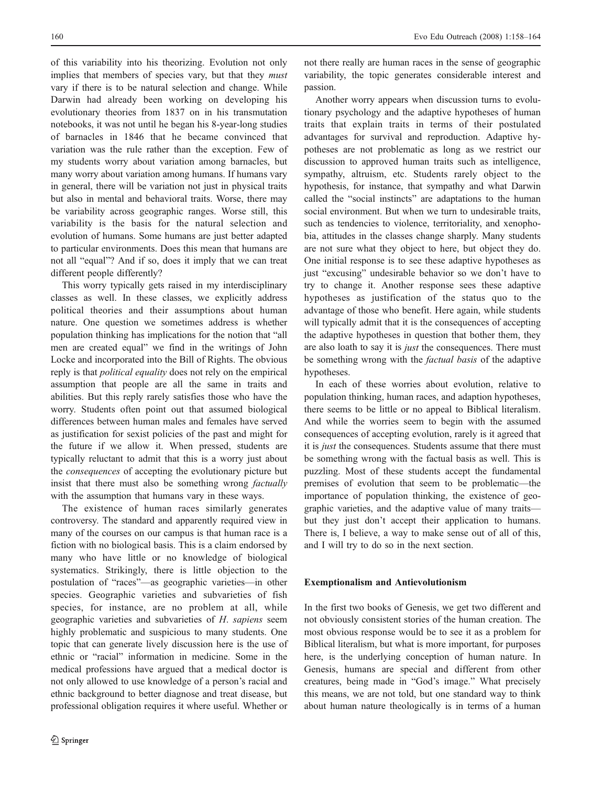of this variability into his theorizing. Evolution not only implies that members of species vary, but that they *must* vary if there is to be natural selection and change. While Darwin had already been working on developing his evolutionary theories from 1837 on in his transmutation notebooks, it was not until he began his 8-year-long studies of barnacles in 1846 that he became convinced that variation was the rule rather than the exception. Few of my students worry about variation among barnacles, but many worry about variation among humans. If humans vary in general, there will be variation not just in physical traits but also in mental and behavioral traits. Worse, there may be variability across geographic ranges. Worse still, this variability is the basis for the natural selection and evolution of humans. Some humans are just better adapted to particular environments. Does this mean that humans are not all "equal"? And if so, does it imply that we can treat different people differently?

This worry typically gets raised in my interdisciplinary classes as well. In these classes, we explicitly address political theories and their assumptions about human nature. One question we sometimes address is whether population thinking has implications for the notion that "all men are created equal" we find in the writings of John Locke and incorporated into the Bill of Rights. The obvious reply is that *political equality* does not rely on the empirical assumption that people are all the same in traits and abilities. But this reply rarely satisfies those who have the worry. Students often point out that assumed biological differences between human males and females have served as justification for sexist policies of the past and might for the future if we allow it. When pressed, students are typically reluctant to admit that this is a worry just about the *consequences* of accepting the evolutionary picture but insist that there must also be something wrong *factually* with the assumption that humans vary in these ways.

The existence of human races similarly generates controversy. The standard and apparently required view in many of the courses on our campus is that human race is a fiction with no biological basis. This is a claim endorsed by many who have little or no knowledge of biological systematics. Strikingly, there is little objection to the postulation of "races"—as geographic varieties—in other species. Geographic varieties and subvarieties of fish species, for instance, are no problem at all, while geographic varieties and subvarieties of H. sapiens seem highly problematic and suspicious to many students. One topic that can generate lively discussion here is the use of ethnic or "racial" information in medicine. Some in the medical professions have argued that a medical doctor is not only allowed to use knowledge of a person's racial and ethnic background to better diagnose and treat disease, but professional obligation requires it where useful. Whether or

not there really are human races in the sense of geographic variability, the topic generates considerable interest and passion.

Another worry appears when discussion turns to evolutionary psychology and the adaptive hypotheses of human traits that explain traits in terms of their postulated advantages for survival and reproduction. Adaptive hypotheses are not problematic as long as we restrict our discussion to approved human traits such as intelligence, sympathy, altruism, etc. Students rarely object to the hypothesis, for instance, that sympathy and what Darwin called the "social instincts" are adaptations to the human social environment. But when we turn to undesirable traits, such as tendencies to violence, territoriality, and xenophobia, attitudes in the classes change sharply. Many students are not sure what they object to here, but object they do. One initial response is to see these adaptive hypotheses as just "excusing" undesirable behavior so we don't have to try to change it. Another response sees these adaptive hypotheses as justification of the status quo to the advantage of those who benefit. Here again, while students will typically admit that it is the consequences of accepting the adaptive hypotheses in question that bother them, they are also loath to say it is just the consequences. There must be something wrong with the factual basis of the adaptive hypotheses.

In each of these worries about evolution, relative to population thinking, human races, and adaption hypotheses, there seems to be little or no appeal to Biblical literalism. And while the worries seem to begin with the assumed consequences of accepting evolution, rarely is it agreed that it is just the consequences. Students assume that there must be something wrong with the factual basis as well. This is puzzling. Most of these students accept the fundamental premises of evolution that seem to be problematic—the importance of population thinking, the existence of geographic varieties, and the adaptive value of many traits but they just don't accept their application to humans. There is, I believe, a way to make sense out of all of this, and I will try to do so in the next section.

# Exemptionalism and Antievolutionism

In the first two books of Genesis, we get two different and not obviously consistent stories of the human creation. The most obvious response would be to see it as a problem for Biblical literalism, but what is more important, for purposes here, is the underlying conception of human nature. In Genesis, humans are special and different from other creatures, being made in "God's image." What precisely this means, we are not told, but one standard way to think about human nature theologically is in terms of a human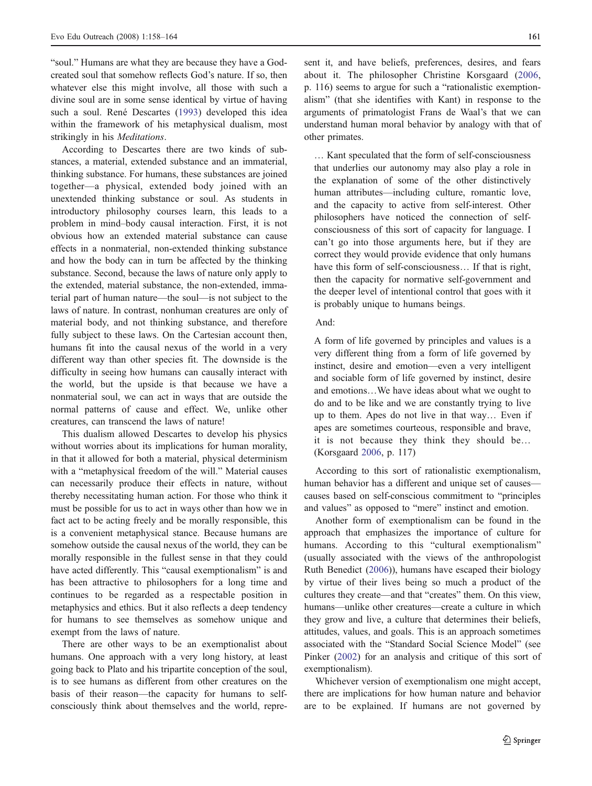"soul." Humans are what they are because they have a Godcreated soul that somehow reflects God's nature. If so, then whatever else this might involve, all those with such a divine soul are in some sense identical by virtue of having such a soul. René Descartes ([1993](#page-6-0)) developed this idea within the framework of his metaphysical dualism, most strikingly in his Meditations.

According to Descartes there are two kinds of substances, a material, extended substance and an immaterial, thinking substance. For humans, these substances are joined together—a physical, extended body joined with an unextended thinking substance or soul. As students in introductory philosophy courses learn, this leads to a problem in mind–body causal interaction. First, it is not obvious how an extended material substance can cause effects in a nonmaterial, non-extended thinking substance and how the body can in turn be affected by the thinking substance. Second, because the laws of nature only apply to the extended, material substance, the non-extended, immaterial part of human nature—the soul—is not subject to the laws of nature. In contrast, nonhuman creatures are only of material body, and not thinking substance, and therefore fully subject to these laws. On the Cartesian account then, humans fit into the causal nexus of the world in a very different way than other species fit. The downside is the difficulty in seeing how humans can causally interact with the world, but the upside is that because we have a nonmaterial soul, we can act in ways that are outside the normal patterns of cause and effect. We, unlike other creatures, can transcend the laws of nature!

This dualism allowed Descartes to develop his physics without worries about its implications for human morality, in that it allowed for both a material, physical determinism with a "metaphysical freedom of the will." Material causes can necessarily produce their effects in nature, without thereby necessitating human action. For those who think it must be possible for us to act in ways other than how we in fact act to be acting freely and be morally responsible, this is a convenient metaphysical stance. Because humans are somehow outside the causal nexus of the world, they can be morally responsible in the fullest sense in that they could have acted differently. This "causal exemptionalism" is and has been attractive to philosophers for a long time and continues to be regarded as a respectable position in metaphysics and ethics. But it also reflects a deep tendency for humans to see themselves as somehow unique and exempt from the laws of nature.

There are other ways to be an exemptionalist about humans. One approach with a very long history, at least going back to Plato and his tripartite conception of the soul, is to see humans as different from other creatures on the basis of their reason—the capacity for humans to selfconsciously think about themselves and the world, represent it, and have beliefs, preferences, desires, and fears about it. The philosopher Christine Korsgaard [\(2006,](#page-6-0) p. 116) seems to argue for such a "rationalistic exemptionalism" (that she identifies with Kant) in response to the arguments of primatologist Frans de Waal's that we can understand human moral behavior by analogy with that of other primates.

… Kant speculated that the form of self-consciousness that underlies our autonomy may also play a role in the explanation of some of the other distinctively human attributes—including culture, romantic love, and the capacity to active from self-interest. Other philosophers have noticed the connection of selfconsciousness of this sort of capacity for language. I can't go into those arguments here, but if they are correct they would provide evidence that only humans have this form of self-consciousness... If that is right, then the capacity for normative self-government and the deeper level of intentional control that goes with it is probably unique to humans beings.

#### And:

A form of life governed by principles and values is a very different thing from a form of life governed by instinct, desire and emotion—even a very intelligent and sociable form of life governed by instinct, desire and emotions…We have ideas about what we ought to do and to be like and we are constantly trying to live up to them. Apes do not live in that way… Even if apes are sometimes courteous, responsible and brave, it is not because they think they should be… (Korsgaard [2006,](#page-6-0) p. 117)

According to this sort of rationalistic exemptionalism, human behavior has a different and unique set of causes causes based on self-conscious commitment to "principles and values" as opposed to "mere" instinct and emotion.

Another form of exemptionalism can be found in the approach that emphasizes the importance of culture for humans. According to this "cultural exemptionalism" (usually associated with the views of the anthropologist Ruth Benedict [\(2006](#page-6-0))), humans have escaped their biology by virtue of their lives being so much a product of the cultures they create—and that "creates" them. On this view, humans—unlike other creatures—create a culture in which they grow and live, a culture that determines their beliefs, attitudes, values, and goals. This is an approach sometimes associated with the "Standard Social Science Model" (see Pinker ([2002](#page-6-0)) for an analysis and critique of this sort of exemptionalism).

Whichever version of exemptionalism one might accept, there are implications for how human nature and behavior are to be explained. If humans are not governed by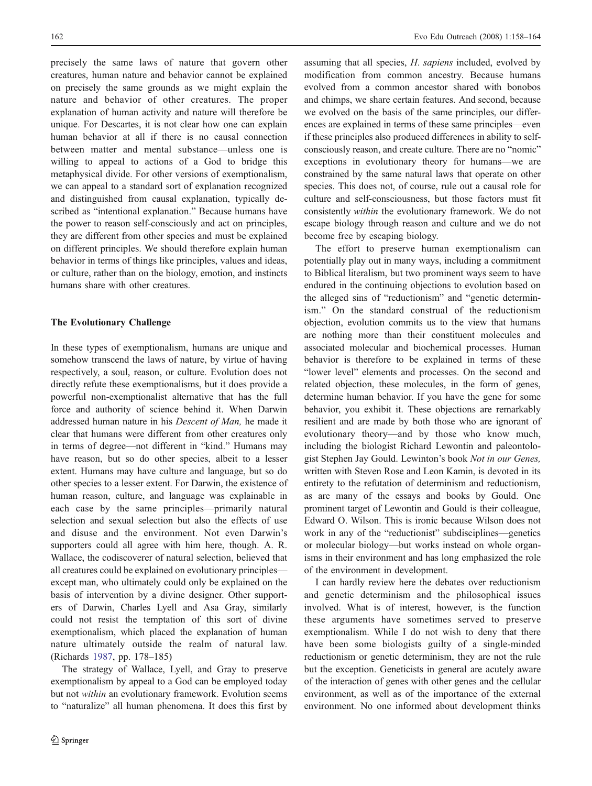precisely the same laws of nature that govern other creatures, human nature and behavior cannot be explained on precisely the same grounds as we might explain the nature and behavior of other creatures. The proper explanation of human activity and nature will therefore be unique. For Descartes, it is not clear how one can explain human behavior at all if there is no causal connection between matter and mental substance—unless one is willing to appeal to actions of a God to bridge this metaphysical divide. For other versions of exemptionalism, we can appeal to a standard sort of explanation recognized and distinguished from causal explanation, typically described as "intentional explanation." Because humans have the power to reason self-consciously and act on principles, they are different from other species and must be explained on different principles. We should therefore explain human behavior in terms of things like principles, values and ideas, or culture, rather than on the biology, emotion, and instincts humans share with other creatures.

#### The Evolutionary Challenge

In these types of exemptionalism, humans are unique and somehow transcend the laws of nature, by virtue of having respectively, a soul, reason, or culture. Evolution does not directly refute these exemptionalisms, but it does provide a powerful non-exemptionalist alternative that has the full force and authority of science behind it. When Darwin addressed human nature in his Descent of Man, he made it clear that humans were different from other creatures only in terms of degree—not different in "kind." Humans may have reason, but so do other species, albeit to a lesser extent. Humans may have culture and language, but so do other species to a lesser extent. For Darwin, the existence of human reason, culture, and language was explainable in each case by the same principles—primarily natural selection and sexual selection but also the effects of use and disuse and the environment. Not even Darwin's supporters could all agree with him here, though. A. R. Wallace, the codiscoverer of natural selection, believed that all creatures could be explained on evolutionary principles except man, who ultimately could only be explained on the basis of intervention by a divine designer. Other supporters of Darwin, Charles Lyell and Asa Gray, similarly could not resist the temptation of this sort of divine exemptionalism, which placed the explanation of human nature ultimately outside the realm of natural law. (Richards [1987](#page-6-0), pp. 178–185)

The strategy of Wallace, Lyell, and Gray to preserve exemptionalism by appeal to a God can be employed today but not within an evolutionary framework. Evolution seems to "naturalize" all human phenomena. It does this first by

assuming that all species, H. sapiens included, evolved by modification from common ancestry. Because humans evolved from a common ancestor shared with bonobos and chimps, we share certain features. And second, because we evolved on the basis of the same principles, our differences are explained in terms of these same principles—even if these principles also produced differences in ability to selfconsciously reason, and create culture. There are no "nomic" exceptions in evolutionary theory for humans—we are constrained by the same natural laws that operate on other species. This does not, of course, rule out a causal role for culture and self-consciousness, but those factors must fit consistently within the evolutionary framework. We do not escape biology through reason and culture and we do not become free by escaping biology.

The effort to preserve human exemptionalism can potentially play out in many ways, including a commitment to Biblical literalism, but two prominent ways seem to have endured in the continuing objections to evolution based on the alleged sins of "reductionism" and "genetic determinism." On the standard construal of the reductionism objection, evolution commits us to the view that humans are nothing more than their constituent molecules and associated molecular and biochemical processes. Human behavior is therefore to be explained in terms of these "lower level" elements and processes. On the second and related objection, these molecules, in the form of genes, determine human behavior. If you have the gene for some behavior, you exhibit it. These objections are remarkably resilient and are made by both those who are ignorant of evolutionary theory—and by those who know much, including the biologist Richard Lewontin and paleontologist Stephen Jay Gould. Lewinton's book Not in our Genes, written with Steven Rose and Leon Kamin, is devoted in its entirety to the refutation of determinism and reductionism, as are many of the essays and books by Gould. One prominent target of Lewontin and Gould is their colleague, Edward O. Wilson. This is ironic because Wilson does not work in any of the "reductionist" subdisciplines—genetics or molecular biology—but works instead on whole organisms in their environment and has long emphasized the role of the environment in development.

I can hardly review here the debates over reductionism and genetic determinism and the philosophical issues involved. What is of interest, however, is the function these arguments have sometimes served to preserve exemptionalism. While I do not wish to deny that there have been some biologists guilty of a single-minded reductionism or genetic determinism, they are not the rule but the exception. Geneticists in general are acutely aware of the interaction of genes with other genes and the cellular environment, as well as of the importance of the external environment. No one informed about development thinks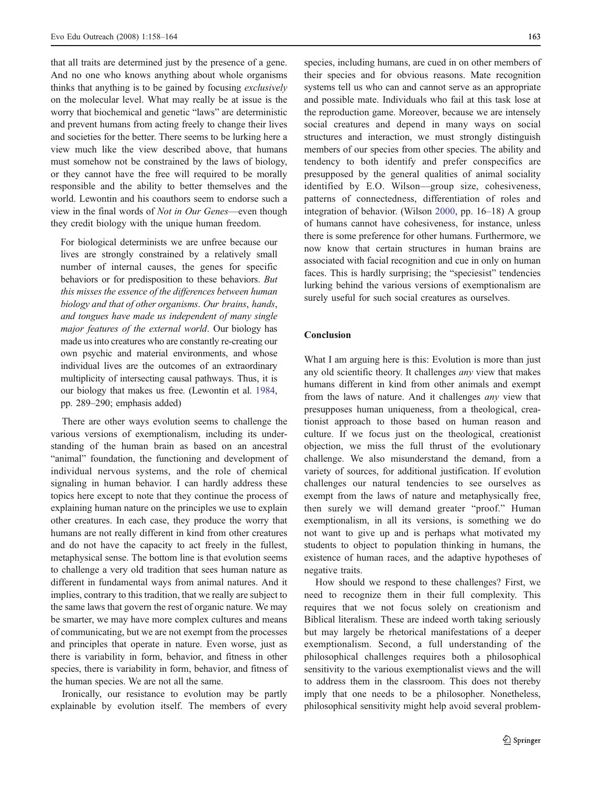that all traits are determined just by the presence of a gene. And no one who knows anything about whole organisms thinks that anything is to be gained by focusing exclusively on the molecular level. What may really be at issue is the worry that biochemical and genetic "laws" are deterministic and prevent humans from acting freely to change their lives and societies for the better. There seems to be lurking here a view much like the view described above, that humans must somehow not be constrained by the laws of biology, or they cannot have the free will required to be morally responsible and the ability to better themselves and the world. Lewontin and his coauthors seem to endorse such a view in the final words of Not in Our Genes—even though they credit biology with the unique human freedom.

For biological determinists we are unfree because our lives are strongly constrained by a relatively small number of internal causes, the genes for specific behaviors or for predisposition to these behaviors. But this misses the essence of the differences between human biology and that of other organisms. Our brains, hands, and tongues have made us independent of many single major features of the external world. Our biology has made us into creatures who are constantly re-creating our own psychic and material environments, and whose individual lives are the outcomes of an extraordinary multiplicity of intersecting causal pathways. Thus, it is our biology that makes us free. (Lewontin et al. [1984,](#page-6-0) pp. 289–290; emphasis added)

There are other ways evolution seems to challenge the various versions of exemptionalism, including its understanding of the human brain as based on an ancestral "animal" foundation, the functioning and development of individual nervous systems, and the role of chemical signaling in human behavior. I can hardly address these topics here except to note that they continue the process of explaining human nature on the principles we use to explain other creatures. In each case, they produce the worry that humans are not really different in kind from other creatures and do not have the capacity to act freely in the fullest, metaphysical sense. The bottom line is that evolution seems to challenge a very old tradition that sees human nature as different in fundamental ways from animal natures. And it implies, contrary to this tradition, that we really are subject to the same laws that govern the rest of organic nature. We may be smarter, we may have more complex cultures and means of communicating, but we are not exempt from the processes and principles that operate in nature. Even worse, just as there is variability in form, behavior, and fitness in other species, there is variability in form, behavior, and fitness of the human species. We are not all the same.

Ironically, our resistance to evolution may be partly explainable by evolution itself. The members of every species, including humans, are cued in on other members of their species and for obvious reasons. Mate recognition systems tell us who can and cannot serve as an appropriate and possible mate. Individuals who fail at this task lose at the reproduction game. Moreover, because we are intensely social creatures and depend in many ways on social structures and interaction, we must strongly distinguish members of our species from other species. The ability and tendency to both identify and prefer conspecifics are presupposed by the general qualities of animal sociality identified by E.O. Wilson—group size, cohesiveness, patterns of connectedness, differentiation of roles and integration of behavior. (Wilson [2000,](#page-6-0) pp. 16–18) A group of humans cannot have cohesiveness, for instance, unless there is some preference for other humans. Furthermore, we now know that certain structures in human brains are associated with facial recognition and cue in only on human faces. This is hardly surprising; the "speciesist" tendencies lurking behind the various versions of exemptionalism are surely useful for such social creatures as ourselves.

## Conclusion

What I am arguing here is this: Evolution is more than just any old scientific theory. It challenges any view that makes humans different in kind from other animals and exempt from the laws of nature. And it challenges any view that presupposes human uniqueness, from a theological, creationist approach to those based on human reason and culture. If we focus just on the theological, creationist objection, we miss the full thrust of the evolutionary challenge. We also misunderstand the demand, from a variety of sources, for additional justification. If evolution challenges our natural tendencies to see ourselves as exempt from the laws of nature and metaphysically free, then surely we will demand greater "proof." Human exemptionalism, in all its versions, is something we do not want to give up and is perhaps what motivated my students to object to population thinking in humans, the existence of human races, and the adaptive hypotheses of negative traits.

How should we respond to these challenges? First, we need to recognize them in their full complexity. This requires that we not focus solely on creationism and Biblical literalism. These are indeed worth taking seriously but may largely be rhetorical manifestations of a deeper exemptionalism. Second, a full understanding of the philosophical challenges requires both a philosophical sensitivity to the various exemptionalist views and the will to address them in the classroom. This does not thereby imply that one needs to be a philosopher. Nonetheless, philosophical sensitivity might help avoid several problem